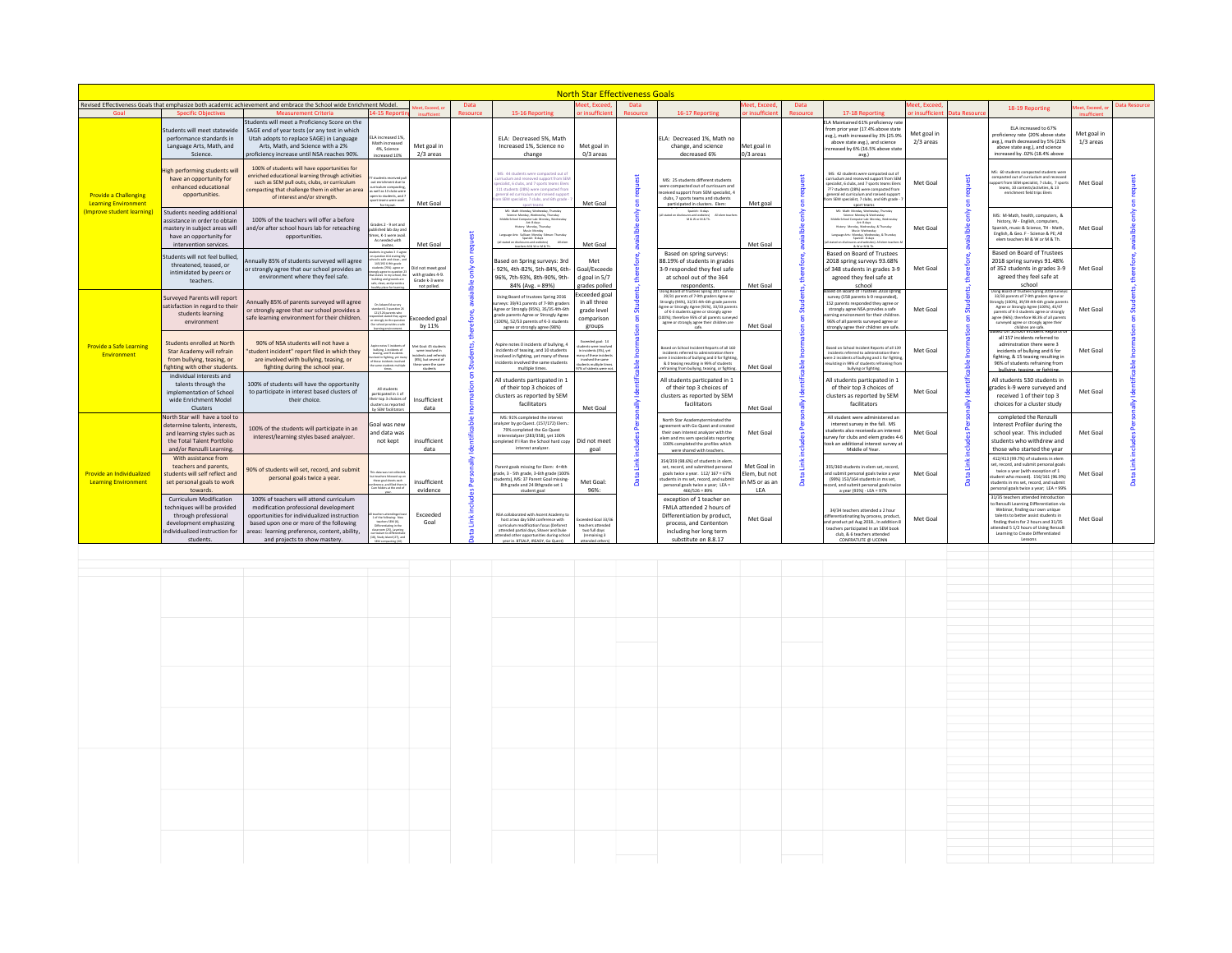| <b>North Star Effectiveness Goals</b>                                                          |                                                                                                                                                                 |                                                                                                                                                                                                                                                               |                                                                                                                                                                                                                                                         |                                                                                                                             |                                                                                                                                                                                                                                            |                                                                                                                                                                                                                                                                                                                                                    |                                                                                                                                                                     |                                                                                                                                                                                                                                                                                                                                    |                                                                                                                                                                                                                                          |                                                   |                                                                                                                                                                                                                                                |                                                                                                                                                                                                                                                                                                             |                          |                                                                                                                                                                                                                                                                                                                                                                         |                                                                                                                                                                                                                                                                                            |                          |               |
|------------------------------------------------------------------------------------------------|-----------------------------------------------------------------------------------------------------------------------------------------------------------------|---------------------------------------------------------------------------------------------------------------------------------------------------------------------------------------------------------------------------------------------------------------|---------------------------------------------------------------------------------------------------------------------------------------------------------------------------------------------------------------------------------------------------------|-----------------------------------------------------------------------------------------------------------------------------|--------------------------------------------------------------------------------------------------------------------------------------------------------------------------------------------------------------------------------------------|----------------------------------------------------------------------------------------------------------------------------------------------------------------------------------------------------------------------------------------------------------------------------------------------------------------------------------------------------|---------------------------------------------------------------------------------------------------------------------------------------------------------------------|------------------------------------------------------------------------------------------------------------------------------------------------------------------------------------------------------------------------------------------------------------------------------------------------------------------------------------|------------------------------------------------------------------------------------------------------------------------------------------------------------------------------------------------------------------------------------------|---------------------------------------------------|------------------------------------------------------------------------------------------------------------------------------------------------------------------------------------------------------------------------------------------------|-------------------------------------------------------------------------------------------------------------------------------------------------------------------------------------------------------------------------------------------------------------------------------------------------------------|--------------------------|-------------------------------------------------------------------------------------------------------------------------------------------------------------------------------------------------------------------------------------------------------------------------------------------------------------------------------------------------------------------------|--------------------------------------------------------------------------------------------------------------------------------------------------------------------------------------------------------------------------------------------------------------------------------------------|--------------------------|---------------|
|                                                                                                |                                                                                                                                                                 | Revised Effectiveness Goals that emphasize both academic achievement and embrace the School wide Enrichment Model                                                                                                                                             |                                                                                                                                                                                                                                                         | st Exceed                                                                                                                   | Data                                                                                                                                                                                                                                       |                                                                                                                                                                                                                                                                                                                                                    | <b>Neet, Exceed</b>                                                                                                                                                 | Data                                                                                                                                                                                                                                                                                                                               |                                                                                                                                                                                                                                          | eet. Exceed                                       | Data                                                                                                                                                                                                                                           |                                                                                                                                                                                                                                                                                                             | eet, Exceed              |                                                                                                                                                                                                                                                                                                                                                                         | 18-19 Reporting                                                                                                                                                                                                                                                                            | leet, Exceed, o          | Data Resource |
| Goal                                                                                           | <b>Specific Objectives</b>                                                                                                                                      | <b>Measurement Criteria</b>                                                                                                                                                                                                                                   | 1-15 Report                                                                                                                                                                                                                                             |                                                                                                                             | Resource                                                                                                                                                                                                                                   | 15-16 Reporting                                                                                                                                                                                                                                                                                                                                    | or insufficien                                                                                                                                                      | Resource                                                                                                                                                                                                                                                                                                                           | 16-17 Reporting                                                                                                                                                                                                                          | r insufficie                                      | <b>Resource</b>                                                                                                                                                                                                                                | 17-18 Reporting                                                                                                                                                                                                                                                                                             | r insufficient           | Data Resource                                                                                                                                                                                                                                                                                                                                                           |                                                                                                                                                                                                                                                                                            |                          |               |
| <b>Provide a Challenging</b><br><b>Learning Environment</b><br><b>Improve student learning</b> | Students will meet statewide<br>performance standards in<br>Language Arts, Math, and<br>Science.                                                                | Students will meet a Proficiency Score on the<br>SAGE end of year tests (or any test in which<br>Utah adopts to replace SAGE) in Language<br>Arts, Math, and Science with a 2%<br>proficiency increase until NSA reaches 90%.                                 | LA increased 1%<br>Math increased<br>Met goal in<br>4%, Science<br>2/3 areas<br>increased 10%                                                                                                                                                           |                                                                                                                             |                                                                                                                                                                                                                                            | ELA: Decreased 5%, Math<br>Increased 1%, Science no<br>change                                                                                                                                                                                                                                                                                      | Met goal in<br>0/3 areas                                                                                                                                            |                                                                                                                                                                                                                                                                                                                                    | ELA: Decreased 1%. Math no<br>change, and science<br>decreased 6%                                                                                                                                                                        | Met goal in<br>0/3 areas                          |                                                                                                                                                                                                                                                | LA Maintained 61% proficiency rate<br>from prior year (17.4% above state<br>avg.), math increased by 3% (25.9%<br>above state avg.), and science<br>increased by 6% (16.5% above state<br>avg.)                                                                                                             | Met goal in<br>2/3 areas |                                                                                                                                                                                                                                                                                                                                                                         | ELA increased to 67%<br>proficiency rate (20% above state<br>avg.), math decreased by 5% (22%<br>above state avg.), and science<br>increased by .02% (18.4% above                                                                                                                          | Met goal in<br>1/3 areas |               |
|                                                                                                | igh performing students wil<br>have an opportunity for<br>enhanced educational<br>opportunities.                                                                | 100% of students will have opportunities for<br>enriched educational learning through activities<br>such as SEM pull outs, clubs, or curriculum<br>compacting that challenge them in either an area<br>of interest and/or strength.                           | students received a<br>ut enrichment due to<br>iculum compactin<br>a well as 13 clubs were<br>pen to students, and<br>sort teams were avail.<br>for tryout.                                                                                             | Met Goal                                                                                                                    |                                                                                                                                                                                                                                            | MS: 44 students were compacted out of<br>urriuclum and receaved support from SEM<br>pecialist, 6 clubs, and 7 sports teams Elem<br>111 students (28%) were compacted from<br>peneral erl curriculum and replued sunnor.<br>om SEM specialist, 7 clubs, and 6th grade                                                                               | Met Goal                                                                                                                                                            |                                                                                                                                                                                                                                                                                                                                    | MS: 25 students different students<br>were compacted out of curricuum and<br>received support from SEM specialist. 4<br>clubs, 7 sports teams and students<br>participated in clusters. Elem:                                            | Met goal                                          | 8                                                                                                                                                                                                                                              | MS: 42 students were compacted out of<br>urriuclum and receoved support from SEM<br>pecialist, 6 clubs, and 7 sports teams Elem<br>??? students (28%) were compacted from<br>reneral ed curriculum and roeived suppor<br>m SEM specialist, 7 clubs, and 6th grade<br>sport teams                            | Met Goal                 |                                                                                                                                                                                                                                                                                                                                                                         | VS: 60 students compacted students were<br>compacted out of curriccium and received<br>port from SEM specialist, 7 clubs, 7 sports<br>teams. 10 contests/activities. & 13<br>enrichment field trips Elem:                                                                                  | Met Goal                 |               |
|                                                                                                | Students needing additional<br>assistance in order to obtain<br>mastery in subject areas will<br>have an opportunity for<br>intervention services.              | 100% of the teachers will offer a before<br>and/or after school hours lab for reteaching<br>opportunities.                                                                                                                                                    | rades 2 - 9 set and<br>blished lab day an<br>mes, K-1 were avail.<br>As needed with<br>invites                                                                                                                                                          | Met Goal                                                                                                                    |                                                                                                                                                                                                                                            | MS: Math: Monday, Wednesday, Thursday<br><b>Science: Monday, Wednesday, Thursday</b><br>Middle School Computer Lab: Monday, Wednesda<br>Art: 9 days<br>Mistany Manday Thursday<br><b>Ausic Monday</b><br>Language Arts: Sullivan: Monday Edman: Thursday<br>Spanish: 9-days<br>(all stated on disclosures and webskes)<br>teachers M & W or M & Th | Met Goal                                                                                                                                                            |                                                                                                                                                                                                                                                                                                                                    | Spanish: B-days<br>all stated on disclosures and websites)<br>$M \& \text{ W or } M \& \text{ Th.}$<br>All elect teach                                                                                                                   | Met Goal                                          | $\frac{8}{5}$                                                                                                                                                                                                                                  | MS: Math: Monday, Wednesday, Thursday<br>Science: Monday & Wednesday<br>Middle School Computer Lab: Monday, Wednesday<br>Art: 8 days<br>History: Monday, Wednesday, & Thursday<br>Language Arts: Monday, Wednesday, & Thursday<br>Stanish: B-days<br>ures and websites). All elem teaches<br>& W or M & Th. | Met Goal                 |                                                                                                                                                                                                                                                                                                                                                                         | MS: M-Math, health, computers, &<br>history. W - English, computers.<br>ipanish, music & Science, TH - Math,<br>English, & Geo. F - Science & PE: All<br>elem teachers M & W or M & Th.                                                                                                    | Met Goal                 |               |
|                                                                                                | tudents will not feel bullied<br>threatened, teased, or<br>intimidated by peers or<br>teachers.                                                                 | Annually 85% of students surveyed will agree<br>or strongly agree that our school provides an<br>environment where they feel safe.                                                                                                                            | nots in arades 2-5 perm<br>massive and states to<br>it is rafe and clean. a<br>45/192 6-9th erade<br>dents (76%) agree or<br>gly agree to ques<br>states in my school, ti<br>uilding and grounds are<br>afe, clean, and provide ;<br>ithy place for les | id not meet goal<br>with grades 4-9.<br>Grade k-3 were<br>not polled.                                                       |                                                                                                                                                                                                                                            | Based on Spring surveys: 3rd<br>92%, 4th-82%, 5th-84%, 6th-<br>96%, 7th-93%, 8th-90%, 9th-<br>84% (Avg. = 89%)                                                                                                                                                                                                                                     | Met<br>Goal/Exceede<br>d goal in 5/7<br>grades polled                                                                                                               |                                                                                                                                                                                                                                                                                                                                    | Based on spring surveys:<br>88.19% of students in grades<br>3-9 responded they feel safe<br>at school out of the 364<br>respondents.                                                                                                     | Met Goal                                          | £                                                                                                                                                                                                                                              | Based on Board of Trustees<br>2018 spring surveys 93.68%<br>of 348 students in grades 3-9<br>agreed they feel safe at<br>school<br>Based on Board of Trustees 2018 spring                                                                                                                                   | Met Goal                 |                                                                                                                                                                                                                                                                                                                                                                         | Based on Board of Trustees<br>2018 spring surveys 91.48%<br>of 352 students in grades 3-9<br>agreed they feel safe at<br>school                                                                                                                                                            | Met Goal                 |               |
| <b>Provide a Safe Learnin</b><br>Environment                                                   | Surveyed Parents will report<br>satisfaction in regard to their<br>students learning<br>environment                                                             | Annually 85% of parents surveyed will agree<br>or strongly agree that our school provides a<br>safe learning environment for their children.                                                                                                                  | On Advanced survey<br>121/126 garrents who<br>anded stated they agre<br>strongly to the question<br>ar school provides a saf<br>earning environment                                                                                                     | xceeded goal<br>by 11%                                                                                                      | Using Board of trustees Spring 2016<br>urveys: 39/41 parents of 7-9th graders<br>Agree or Strongly (95%), 35/35 4th-6th<br>grade parents Agree or Strongly Agree<br>(100%), 52/53 parents of K-3 students<br>agree or strongly agree (98%) | xceeded goal<br>in all three<br>grade level<br>comparison<br>groups                                                                                                                                                                                                                                                                                |                                                                                                                                                                     | Jsing Board of trustees Spring 2017 survey<br>29/31 parents of 7-9th graders Agree or<br>trongly (94%), 32/35 4th-6th grade parent<br>gree or Strongly Agree (91%), 33/33 parent<br>of K-3 students agree or strongly agree<br>100%): therefore 95% of all parents surveyed<br>agree or strongly agree their children are<br>cafe. | Met Goal                                                                                                                                                                                                                                 | ᅙ<br>å                                            | survey (158 parents k-9 responded),<br>152 parents responded they agree or<br>strongly agree NSA provides a safe<br>sarning environment for their children.<br>96% of all parents surveyed agree or<br>strongly agree their children are safe. | Met Goal                                                                                                                                                                                                                                                                                                    |                          | sing Board of trustees Spring 2019 surveys<br>33/33 parents of 7-9th graders Agree or<br>ongly (100%), 39/39 4th-6th grade parents<br>Agree or Strongly Agree (100%), 45/47<br>sarents of K-3 students agree or strongly<br>agree (96%); therefore 98,3% of all parents<br>surveyed agree or strongly agree their<br>children are safe.<br>isea on school incident kept | Met Goal                                                                                                                                                                                                                                                                                   |                          |               |
|                                                                                                | Students enrolled at North<br>Star Academy will refrain<br>from bullying, teasing, or<br>fighting with other students.                                          | 90% of NSA students will not have a<br>'student incident" report filed in which they<br>are involved with bullying, teasing, or<br>fighting during the school year.                                                                                           | ire notes S incidents o<br>bullying, 1 incidents of<br>easing, and 9 students<br>leed in fighting, yet ma<br>these incidents involve<br>ame students multiple<br>times                                                                                  | fet Goal: 45 student<br>were involved in<br>idents and referral<br>(BN), but several of<br>these were the same.<br>students |                                                                                                                                                                                                                                            | Aspire notes 0 incidents of bullying, 4<br>incidents of teasing, and 10 students<br>nvolved in fighting, yet many of these<br>incidents involved the same students<br>multiple times.                                                                                                                                                              | Exceeded epal: 14<br>udents were involve<br>n incidents (3%), vet<br>any of these inciden<br>involved the same<br>tudents multiple time<br>17% of stdents were not. |                                                                                                                                                                                                                                                                                                                                    | aged on School Incident Reports of all 160<br>incidents referred to adminstration there<br>were 3 incidents of bullying and 0 for fighting<br>& 0 teasing resulting in 99% of students<br>refraining from bullying, teasing, or fighting | Met Goal                                          |                                                                                                                                                                                                                                                | ased on School Incident Reports of all 139<br>incidents referred to adminstration ther<br>were 2 incidents of bullying and 1 for fighting<br>resulsting in 99% of students refraining from<br>bullying or fighting.                                                                                         | Met Goal                 |                                                                                                                                                                                                                                                                                                                                                                         | all 157 incidents referred to<br>adminstration there were 3<br>incidents of bullying and 6 for<br>fighting, & 15 teasing resulting in<br>96% of students refraining from<br>hullying teacing or fighti                                                                                     | Met Goal                 |               |
|                                                                                                | individual interests and<br>talents through the<br>implementation of School<br>wide Enrichment Model<br>Clusters                                                | 100% of students will have the opportunity<br>to participate in interest based clusters of<br>their choice.                                                                                                                                                   | All students<br>sarticpated in 1 of<br>eir too 3 choices o<br>lusters as renorter<br>by SEM facilitators                                                                                                                                                | Insufficient<br>data                                                                                                        |                                                                                                                                                                                                                                            | All students particpated in 1<br>of their top 3 choices of<br>clusters as reported by SEM<br>facilitators                                                                                                                                                                                                                                          | Met Goal                                                                                                                                                            |                                                                                                                                                                                                                                                                                                                                    | All students particpated in 1<br>of their top 3 choices of<br>clusters as reported by SEM<br>facilitators                                                                                                                                | Met Goal                                          |                                                                                                                                                                                                                                                | All students particpated in 1<br>of their top 3 choices of<br>clusters as reported by SEM<br>facilitators                                                                                                                                                                                                   | Met Goal                 |                                                                                                                                                                                                                                                                                                                                                                         | All students 530 students in<br>rades k-9 were surveyed and<br>received 1 of their top 3<br>choices for a cluster study                                                                                                                                                                    | Met Goal                 |               |
| <b>Provide an Individualized</b><br><b>Learning Environment</b>                                | North Star will have a tool to<br>determine talents, interests,<br>and learning styles such as<br>the Total Talent Portfolio<br>and/or Renzulli Learning.       | 100% of the students will participate in an<br>interest/learning styles based analyzer.                                                                                                                                                                       | oal was new<br>nd data was<br>not kept                                                                                                                                                                                                                  | insufficient<br>data                                                                                                        |                                                                                                                                                                                                                                            | MS: 91% completed the interest<br>nalyzer by go Quest. (157/172) Elem.<br>79% completed the Go Quest<br>interestalyzer (283/358), yet 100%<br>completed If I Ran the School hard copy<br>interest analyzer                                                                                                                                         | Did not meet<br>eoal                                                                                                                                                |                                                                                                                                                                                                                                                                                                                                    | North Star Academyterminated the<br>agreement with Go Quest and created<br>their own interest analyzer with the<br>elem and ms sem specialists reporting<br>100% completed the profiles which<br>were shared with teachers.              | Met Goal                                          | Ŧ                                                                                                                                                                                                                                              | All student were administered ar<br>interest survey in the fall. MS<br>students also receiveda an interest<br>survey for clubs and elem grades 4-6<br>took an additional interest survey at<br>Middle of Year.                                                                                              | Met Goal                 |                                                                                                                                                                                                                                                                                                                                                                         | completed the Renzulli<br>Interest Profiler during the<br>school year. This included<br>students who withdrew and<br>those who started the year                                                                                                                                            | Met Goal                 |               |
|                                                                                                | With assistance from<br>teachers and parents,<br>students will self reflect and<br>set personal goals to work<br>towards                                        | 90% of students will set, record, and submit<br>personal goals twice a year.                                                                                                                                                                                  | is data was not collect<br>it teachers followed up o<br>these goal sheets each<br>rence, and filed them<br>a folders at the end                                                                                                                         | insufficient<br>evidence                                                                                                    |                                                                                                                                                                                                                                            | Parent goals missing for Elem: 4=4th<br>grade, 3 - 5th grade, 3-6th grade (100%<br>students). MS: 37 Parent Goal missing-<br>8th grade and 24 8thgrade set 1<br>student goal                                                                                                                                                                       | Met Goal:<br>96%:                                                                                                                                                   |                                                                                                                                                                                                                                                                                                                                    | 354/359 (98.6%) of students in elem.<br>set record, and submitted personal<br>goals twice a year. 112/167 = 67%<br>tudents in ms set, record, and submit<br>personal goals twice a year; LEA =<br>$466/526 = 89%$                        | Met Goal in<br>lem, but not<br>MS or as ar<br>LEA | Ξ<br>Data                                                                                                                                                                                                                                      | 355/360 students in elem set, record,<br>and submit personal goals twice a year<br>(99%) 153/164 students in ms set,<br>ecord, and submit personal goals twice<br>a year (93%) - LEA = 97%                                                                                                                  | Met Goal                 | Ö                                                                                                                                                                                                                                                                                                                                                                       | 412/413 (99.7%) of students in elem<br>set, record, and submit personal goals<br>twice a year (with exception of 1<br>tudent who moved). 156/161 (96.9%)<br>tudents in ms set, record, and submit<br>personal goals twice a year; LEA = 99%                                                | Met Goal                 | ata           |
|                                                                                                | <b>Curriculum Modification</b><br>techniques will be provided<br>through professional<br>development emphasizing<br>individualized instruction for<br>students. | 100% of teachers will attend curriculum<br>modification professional development<br>opportunities for individualized instruction<br>based upon one or more of the following<br>areas: learning preference, content, ability,<br>and projects to show mastery. | where strendness les<br>of the following: New<br><b>Marriage COM (C)</b><br>Differentiating in the<br>com (25), Layering<br>riculum to differentia<br>6, Study Island (27), an                                                                          | Exceeded<br>Goal                                                                                                            |                                                                                                                                                                                                                                            | NSA collaborated with Ascent Academy to<br>host a two day SEM conference with<br>curriculum modification focus (Defores<br>attended partial days, Shaver and Duke<br>attended other opportunities during school<br>vear in RTSALP IREADY Go Ounct)                                                                                                 | readed Goal 33/36<br>teachers attended<br>two full days<br>(remaining 3)<br>attended others)                                                                        |                                                                                                                                                                                                                                                                                                                                    | exception of 1 teacher on<br>FMLA attended 2 hours of<br>Differentiation by product,<br>process, and Contenton<br>including her long term<br>substitute on 8.8.17                                                                        | Met Goal                                          |                                                                                                                                                                                                                                                | 34/34 teachers attended a 2 hour<br>differentiatinating by process, product,<br>and product pd Aug 2018., In addition 8<br>teachers participated In an SEM book<br>club, & 6 teachers attended<br>CONFRATUTE @ UCONN                                                                                        | Met Goal                 |                                                                                                                                                                                                                                                                                                                                                                         | 31/35 teachers attended Introduction<br>Renzulli Learning Differentiation via<br>Webinar, finding our own unique<br>talents to better assist students in<br>finding theirs for 2 hours and 31/35<br>attended 5 1/2 hours of Using Renzulli<br>Learning to Create Differentiated<br>Lessons | Met Goal                 |               |

| the contract of the contract of the contract of the contract of the contract of<br>the contract of the contract of the contract of the contract of the contract of the contract of the contract of<br>the contract of the contract of the contract of the contract of the contract of the contract of the contract of<br>the contract of the contract of the contract of the contract of the contract of the contract of the contract of<br>the contract of the contract of the contract of the contract of the contract of the contract of the contract of<br>the contract of the contract of the contract of the contract of the contract of<br>the contract of the contract of the contract of the contract of the contract of<br>the control of the con-<br>the contract of the contract of the contract of<br>the contract of the contract of the contract of the contract of the contract of<br>the contract of the contract of the contract of the contract of the contract of<br>the control of the control of the control of the control of the control of<br>the contract of the contract of the contract of the contract of the contract of<br>the contract of the contract of the contract of the contract of the contract of the contract of the contract of<br>the contract of the contract of the contract of the contract of the contract of |  |  |  |  |  |  |  |  |  |  |  |  |
|--------------------------------------------------------------------------------------------------------------------------------------------------------------------------------------------------------------------------------------------------------------------------------------------------------------------------------------------------------------------------------------------------------------------------------------------------------------------------------------------------------------------------------------------------------------------------------------------------------------------------------------------------------------------------------------------------------------------------------------------------------------------------------------------------------------------------------------------------------------------------------------------------------------------------------------------------------------------------------------------------------------------------------------------------------------------------------------------------------------------------------------------------------------------------------------------------------------------------------------------------------------------------------------------------------------------------------------------------------------|--|--|--|--|--|--|--|--|--|--|--|--|
|                                                                                                                                                                                                                                                                                                                                                                                                                                                                                                                                                                                                                                                                                                                                                                                                                                                                                                                                                                                                                                                                                                                                                                                                                                                                                                                                                              |  |  |  |  |  |  |  |  |  |  |  |  |
|                                                                                                                                                                                                                                                                                                                                                                                                                                                                                                                                                                                                                                                                                                                                                                                                                                                                                                                                                                                                                                                                                                                                                                                                                                                                                                                                                              |  |  |  |  |  |  |  |  |  |  |  |  |
|                                                                                                                                                                                                                                                                                                                                                                                                                                                                                                                                                                                                                                                                                                                                                                                                                                                                                                                                                                                                                                                                                                                                                                                                                                                                                                                                                              |  |  |  |  |  |  |  |  |  |  |  |  |
|                                                                                                                                                                                                                                                                                                                                                                                                                                                                                                                                                                                                                                                                                                                                                                                                                                                                                                                                                                                                                                                                                                                                                                                                                                                                                                                                                              |  |  |  |  |  |  |  |  |  |  |  |  |
|                                                                                                                                                                                                                                                                                                                                                                                                                                                                                                                                                                                                                                                                                                                                                                                                                                                                                                                                                                                                                                                                                                                                                                                                                                                                                                                                                              |  |  |  |  |  |  |  |  |  |  |  |  |
|                                                                                                                                                                                                                                                                                                                                                                                                                                                                                                                                                                                                                                                                                                                                                                                                                                                                                                                                                                                                                                                                                                                                                                                                                                                                                                                                                              |  |  |  |  |  |  |  |  |  |  |  |  |
|                                                                                                                                                                                                                                                                                                                                                                                                                                                                                                                                                                                                                                                                                                                                                                                                                                                                                                                                                                                                                                                                                                                                                                                                                                                                                                                                                              |  |  |  |  |  |  |  |  |  |  |  |  |
|                                                                                                                                                                                                                                                                                                                                                                                                                                                                                                                                                                                                                                                                                                                                                                                                                                                                                                                                                                                                                                                                                                                                                                                                                                                                                                                                                              |  |  |  |  |  |  |  |  |  |  |  |  |
|                                                                                                                                                                                                                                                                                                                                                                                                                                                                                                                                                                                                                                                                                                                                                                                                                                                                                                                                                                                                                                                                                                                                                                                                                                                                                                                                                              |  |  |  |  |  |  |  |  |  |  |  |  |
|                                                                                                                                                                                                                                                                                                                                                                                                                                                                                                                                                                                                                                                                                                                                                                                                                                                                                                                                                                                                                                                                                                                                                                                                                                                                                                                                                              |  |  |  |  |  |  |  |  |  |  |  |  |
|                                                                                                                                                                                                                                                                                                                                                                                                                                                                                                                                                                                                                                                                                                                                                                                                                                                                                                                                                                                                                                                                                                                                                                                                                                                                                                                                                              |  |  |  |  |  |  |  |  |  |  |  |  |
|                                                                                                                                                                                                                                                                                                                                                                                                                                                                                                                                                                                                                                                                                                                                                                                                                                                                                                                                                                                                                                                                                                                                                                                                                                                                                                                                                              |  |  |  |  |  |  |  |  |  |  |  |  |
|                                                                                                                                                                                                                                                                                                                                                                                                                                                                                                                                                                                                                                                                                                                                                                                                                                                                                                                                                                                                                                                                                                                                                                                                                                                                                                                                                              |  |  |  |  |  |  |  |  |  |  |  |  |
|                                                                                                                                                                                                                                                                                                                                                                                                                                                                                                                                                                                                                                                                                                                                                                                                                                                                                                                                                                                                                                                                                                                                                                                                                                                                                                                                                              |  |  |  |  |  |  |  |  |  |  |  |  |
|                                                                                                                                                                                                                                                                                                                                                                                                                                                                                                                                                                                                                                                                                                                                                                                                                                                                                                                                                                                                                                                                                                                                                                                                                                                                                                                                                              |  |  |  |  |  |  |  |  |  |  |  |  |
|                                                                                                                                                                                                                                                                                                                                                                                                                                                                                                                                                                                                                                                                                                                                                                                                                                                                                                                                                                                                                                                                                                                                                                                                                                                                                                                                                              |  |  |  |  |  |  |  |  |  |  |  |  |
|                                                                                                                                                                                                                                                                                                                                                                                                                                                                                                                                                                                                                                                                                                                                                                                                                                                                                                                                                                                                                                                                                                                                                                                                                                                                                                                                                              |  |  |  |  |  |  |  |  |  |  |  |  |
|                                                                                                                                                                                                                                                                                                                                                                                                                                                                                                                                                                                                                                                                                                                                                                                                                                                                                                                                                                                                                                                                                                                                                                                                                                                                                                                                                              |  |  |  |  |  |  |  |  |  |  |  |  |
|                                                                                                                                                                                                                                                                                                                                                                                                                                                                                                                                                                                                                                                                                                                                                                                                                                                                                                                                                                                                                                                                                                                                                                                                                                                                                                                                                              |  |  |  |  |  |  |  |  |  |  |  |  |
|                                                                                                                                                                                                                                                                                                                                                                                                                                                                                                                                                                                                                                                                                                                                                                                                                                                                                                                                                                                                                                                                                                                                                                                                                                                                                                                                                              |  |  |  |  |  |  |  |  |  |  |  |  |
|                                                                                                                                                                                                                                                                                                                                                                                                                                                                                                                                                                                                                                                                                                                                                                                                                                                                                                                                                                                                                                                                                                                                                                                                                                                                                                                                                              |  |  |  |  |  |  |  |  |  |  |  |  |
|                                                                                                                                                                                                                                                                                                                                                                                                                                                                                                                                                                                                                                                                                                                                                                                                                                                                                                                                                                                                                                                                                                                                                                                                                                                                                                                                                              |  |  |  |  |  |  |  |  |  |  |  |  |
|                                                                                                                                                                                                                                                                                                                                                                                                                                                                                                                                                                                                                                                                                                                                                                                                                                                                                                                                                                                                                                                                                                                                                                                                                                                                                                                                                              |  |  |  |  |  |  |  |  |  |  |  |  |
|                                                                                                                                                                                                                                                                                                                                                                                                                                                                                                                                                                                                                                                                                                                                                                                                                                                                                                                                                                                                                                                                                                                                                                                                                                                                                                                                                              |  |  |  |  |  |  |  |  |  |  |  |  |
|                                                                                                                                                                                                                                                                                                                                                                                                                                                                                                                                                                                                                                                                                                                                                                                                                                                                                                                                                                                                                                                                                                                                                                                                                                                                                                                                                              |  |  |  |  |  |  |  |  |  |  |  |  |
|                                                                                                                                                                                                                                                                                                                                                                                                                                                                                                                                                                                                                                                                                                                                                                                                                                                                                                                                                                                                                                                                                                                                                                                                                                                                                                                                                              |  |  |  |  |  |  |  |  |  |  |  |  |
|                                                                                                                                                                                                                                                                                                                                                                                                                                                                                                                                                                                                                                                                                                                                                                                                                                                                                                                                                                                                                                                                                                                                                                                                                                                                                                                                                              |  |  |  |  |  |  |  |  |  |  |  |  |
|                                                                                                                                                                                                                                                                                                                                                                                                                                                                                                                                                                                                                                                                                                                                                                                                                                                                                                                                                                                                                                                                                                                                                                                                                                                                                                                                                              |  |  |  |  |  |  |  |  |  |  |  |  |
|                                                                                                                                                                                                                                                                                                                                                                                                                                                                                                                                                                                                                                                                                                                                                                                                                                                                                                                                                                                                                                                                                                                                                                                                                                                                                                                                                              |  |  |  |  |  |  |  |  |  |  |  |  |
|                                                                                                                                                                                                                                                                                                                                                                                                                                                                                                                                                                                                                                                                                                                                                                                                                                                                                                                                                                                                                                                                                                                                                                                                                                                                                                                                                              |  |  |  |  |  |  |  |  |  |  |  |  |
|                                                                                                                                                                                                                                                                                                                                                                                                                                                                                                                                                                                                                                                                                                                                                                                                                                                                                                                                                                                                                                                                                                                                                                                                                                                                                                                                                              |  |  |  |  |  |  |  |  |  |  |  |  |
|                                                                                                                                                                                                                                                                                                                                                                                                                                                                                                                                                                                                                                                                                                                                                                                                                                                                                                                                                                                                                                                                                                                                                                                                                                                                                                                                                              |  |  |  |  |  |  |  |  |  |  |  |  |
|                                                                                                                                                                                                                                                                                                                                                                                                                                                                                                                                                                                                                                                                                                                                                                                                                                                                                                                                                                                                                                                                                                                                                                                                                                                                                                                                                              |  |  |  |  |  |  |  |  |  |  |  |  |
|                                                                                                                                                                                                                                                                                                                                                                                                                                                                                                                                                                                                                                                                                                                                                                                                                                                                                                                                                                                                                                                                                                                                                                                                                                                                                                                                                              |  |  |  |  |  |  |  |  |  |  |  |  |
|                                                                                                                                                                                                                                                                                                                                                                                                                                                                                                                                                                                                                                                                                                                                                                                                                                                                                                                                                                                                                                                                                                                                                                                                                                                                                                                                                              |  |  |  |  |  |  |  |  |  |  |  |  |
|                                                                                                                                                                                                                                                                                                                                                                                                                                                                                                                                                                                                                                                                                                                                                                                                                                                                                                                                                                                                                                                                                                                                                                                                                                                                                                                                                              |  |  |  |  |  |  |  |  |  |  |  |  |